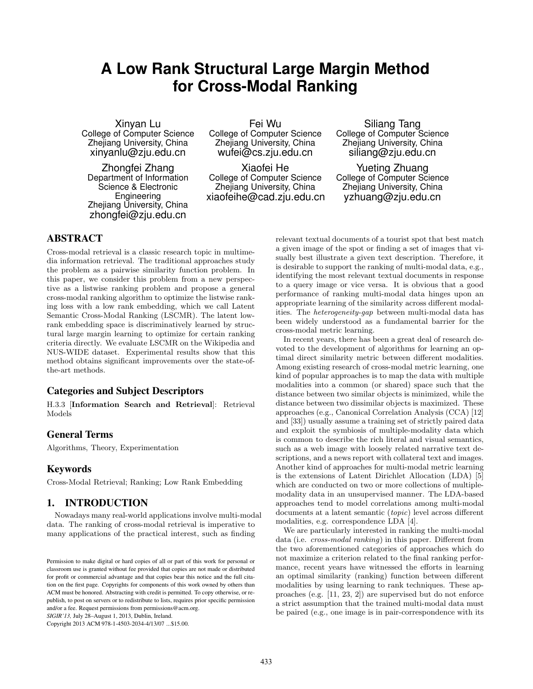# **A Low Rank Structural Large Margin Method for Cross-Modal Ranking**

Xinyan Lu College of Computer Science Zhejiang University, China xinyanlu@zju.edu.cn

Zhongfei Zhang Department of Information Science & Electronic Engineering Zhejiang University, China zhongfei@zju.edu.cn

Fei Wu College of Computer Science Zhejiang University, China wufei@cs.zju.edu.cn

Xiaofei He College of Computer Science Zhejiang University, China xiaofeihe@cad.zju.edu.cn

Siliang Tang College of Computer Science Zhejiang University, China siliang@zju.edu.cn

Yueting Zhuang College of Computer Science Zhejiang University, China yzhuang@zju.edu.cn

# **ABSTRACT**

Cross-modal retrieval is a classic research topic in multimedia information retrieval. The traditional approaches study the problem as a pairwise similarity function problem. In this paper, we consider this problem from a new perspective as a listwise ranking problem and propose a general cross-modal ranking algorithm to optimize the listwise ranking loss with a low rank embedding, which we call Latent Semantic Cross-Modal Ranking (LSCMR). The latent lowrank embedding space is discriminatively learned by structural large margin learning to optimize for certain ranking criteria directly. We evaluate LSCMR on the Wikipedia and NUS-WIDE dataset. Experimental results show that this method obtains significant improvements over the state-ofthe-art methods.

## **Categories and Subject Descriptors**

H.3.3 [Information Search and Retrieval]: Retrieval Models

## **General Terms**

Algorithms, Theory, Experimentation

## **Keywords**

Cross-Modal Retrieval; Ranking; Low Rank Embedding

## **1. INTRODUCTION**

Nowadays many real-world applications involve multi-modal data. The ranking of cross-modal retrieval is imperative to many applications of the practical interest, such as finding

*SIGIR'13,* July 28–August 1, 2013, Dublin, Ireland.

Copyright 2013 ACM 978-1-4503-2034-4/13/07 ...\$15.00.

relevant textual documents of a tourist spot that best match a given image of the spot or finding a set of images that visually best illustrate a given text description. Therefore, it is desirable to support the ranking of multi-modal data, e.g., identifying the most relevant textual documents in response to a query image or vice versa. It is obvious that a good performance of ranking multi-modal data hinges upon an appropriate learning of the similarity across different modalities. The heterogeneity-gap between multi-modal data has been widely understood as a fundamental barrier for the cross-modal metric learning.

In recent years, there has been a great deal of research devoted to the development of algorithms for learning an optimal direct similarity metric between different modalities. Among existing research of cross-modal metric learning, one kind of popular approaches is to map the data with multiple modalities into a common (or shared) space such that the distance between two similar objects is minimized, while the distance between two dissimilar objects is maximized. These approaches (e.g., Canonical Correlation Analysis (CCA) [12] and [33]) usually assume a training set of strictly paired data and exploit the symbiosis of multiple-modality data which is common to describe the rich literal and visual semantics, such as a web image with loosely related narrative text descriptions, and a news report with collateral text and images. Another kind of approaches for multi-modal metric learning is the extensions of Latent Dirichlet Allocation (LDA) [5] which are conducted on two or more collections of multiplemodality data in an unsupervised manner. The LDA-based approaches tend to model correlations among multi-modal documents at a latent semantic (topic) level across different modalities, e.g. correspondence LDA [4].

We are particularly interested in ranking the multi-modal data (i.e. cross-modal ranking) in this paper. Different from the two aforementioned categories of approaches which do not maximize a criterion related to the final ranking performance, recent years have witnessed the efforts in learning an optimal similarity (ranking) function between different modalities by using learning to rank techniques. These approaches (e.g. [11, 23, 2]) are supervised but do not enforce a strict assumption that the trained multi-modal data must be paired (e.g., one image is in pair-correspondence with its

Permission to make digital or hard copies of all or part of this work for personal or classroom use is granted without fee provided that copies are not made or distributed for profit or commercial advantage and that copies bear this notice and the full citation on the first page. Copyrights for components of this work owned by others than ACM must be honored. Abstracting with credit is permitted. To copy otherwise, or republish, to post on servers or to redistribute to lists, requires prior specific permission and/or a fee. Request permissions from permissions@acm.org.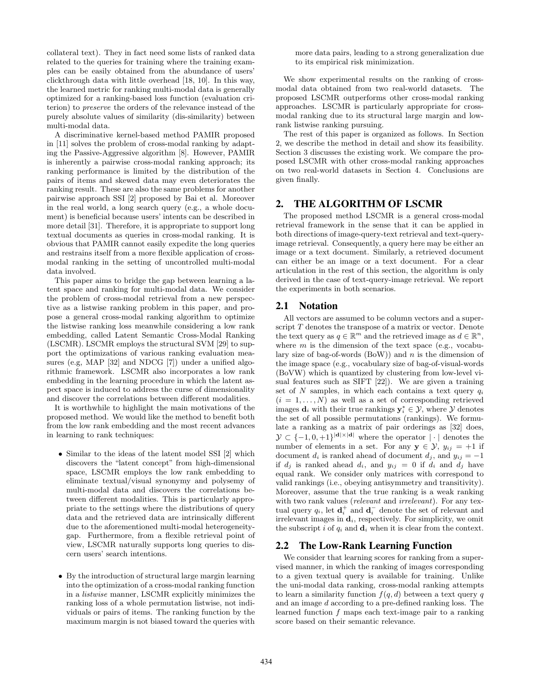collateral text). They in fact need some lists of ranked data related to the queries for training where the training examples can be easily obtained from the abundance of users' clickthrough data with little overhead [18, 10]. In this way, the learned metric for ranking multi-modal data is generally optimized for a ranking-based loss function (evaluation criterion) to preserve the orders of the relevance instead of the purely absolute values of similarity (dis-similarity) between multi-modal data.

A discriminative kernel-based method PAMIR proposed in [11] solves the problem of cross-modal ranking by adapting the Passive-Aggressive algorithm [8]. However, PAMIR is inherently a pairwise cross-modal ranking approach; its ranking performance is limited by the distribution of the pairs of items and skewed data may even deteriorates the ranking result. These are also the same problems for another pairwise approach SSI [2] proposed by Bai et al. Moreover in the real world, a long search query (e.g., a whole document) is beneficial because users' intents can be described in more detail [31]. Therefore, it is appropriate to support long textual documents as queries in cross-modal ranking. It is obvious that PAMIR cannot easily expedite the long queries and restrains itself from a more flexible application of crossmodal ranking in the setting of uncontrolled multi-modal data involved.

This paper aims to bridge the gap between learning a latent space and ranking for multi-modal data. We consider the problem of cross-modal retrieval from a new perspective as a listwise ranking problem in this paper, and propose a general cross-modal ranking algorithm to optimize the listwise ranking loss meanwhile considering a low rank embedding, called Latent Semantic Cross-Modal Ranking (LSCMR). LSCMR employs the structural SVM [29] to support the optimizations of various ranking evaluation measures (e.g, MAP [32] and NDCG [7]) under a unified algorithmic framework. LSCMR also incorporates a low rank embedding in the learning procedure in which the latent aspect space is induced to address the curse of dimensionality and discover the correlations between different modalities.

It is worthwhile to highlight the main motivations of the proposed method. We would like the method to benefit both from the low rank embedding and the most recent advances in learning to rank techniques:

- Similar to the ideas of the latent model SSI [2] which discovers the "latent concept" from high-dimensional space, LSCMR employs the low rank embedding to eliminate textual/visual synonymy and polysemy of multi-modal data and discovers the correlations between different modalities. This is particularly appropriate to the settings where the distributions of query data and the retrieved data are intrinsically different due to the aforementioned multi-modal heterogeneitygap. Furthermore, from a flexible retrieval point of view, LSCMR naturally supports long queries to discern users' search intentions.
- By the introduction of structural large margin learning into the optimization of a cross-modal ranking function in a listwise manner, LSCMR explicitly minimizes the ranking loss of a whole permutation listwise, not individuals or pairs of items. The ranking function by the maximum margin is not biased toward the queries with

more data pairs, leading to a strong generalization due to its empirical risk minimization.

We show experimental results on the ranking of crossmodal data obtained from two real-world datasets. The proposed LSCMR outperforms other cross-modal ranking approaches. LSCMR is particularly appropriate for crossmodal ranking due to its structural large margin and lowrank listwise ranking pursuing.

The rest of this paper is organized as follows. In Section 2, we describe the method in detail and show its feasibility. Section 3 discusses the existing work. We compare the proposed LSCMR with other cross-modal ranking approaches on two real-world datasets in Section 4. Conclusions are given finally.

#### **2. THE ALGORITHM OF LSCMR**

The proposed method LSCMR is a general cross-modal retrieval framework in the sense that it can be applied in both directions of image-query-text retrieval and text-queryimage retrieval. Consequently, a query here may be either an image or a text document. Similarly, a retrieved document can either be an image or a text document. For a clear articulation in the rest of this section, the algorithm is only derived in the case of text-query-image retrieval. We report the experiments in both scenarios.

## **2.1 Notation**

All vectors are assumed to be column vectors and a superscript  $T$  denotes the transpose of a matrix or vector. Denote the text query as  $q \in \mathbb{R}^m$  and the retrieved image as  $d \in \mathbb{R}^n$ , where  $m$  is the dimension of the text space (e.g., vocabulary size of bag-of-words  $(BoW)$  and n is the dimension of the image space (e.g., vocabulary size of bag-of-visual-words (BoVW) which is quantized by clustering from low-level visual features such as SIFT [22]). We are given a training set of N samples, in which each contains a text query  $q_i$  $(i = 1, \ldots, N)$  as well as a set of corresponding retrieved images  $\mathbf{d}_i$  with their true rankings  $\mathbf{y}_i^* \in \mathcal{Y}$ , where  $\mathcal{Y}$  denotes the set of all possible permutations (rankings). We formulate a ranking as a matrix of pair orderings as [32] does,  $\mathcal{Y} \subset \{-1, 0, +1\}^{|d| \times |d|}$  where the operator  $|\cdot|$  denotes the number of elements in a set. For any  $y \in \mathcal{Y}$ ,  $y_{ij} = +1$  if document  $d_i$  is ranked ahead of document  $d_j$ , and  $y_{ij} = -1$ if  $d_i$  is ranked ahead  $d_i$ , and  $y_{ij} = 0$  if  $d_i$  and  $d_j$  have equal rank. We consider only matrices with correspond to valid rankings (i.e., obeying antisymmetry and transitivity). Moreover, assume that the true ranking is a weak ranking with two rank values (*relevant* and *irrelevant*). For any textual query  $q_i$ , let  $\mathbf{d}_i^+$  and  $\mathbf{d}_i^-$  denote the set of relevant and irrelevant images in  $\mathbf{d}_i$ , respectively. For simplicity, we omit the subscript i of  $q_i$  and  $\mathbf{d}_i$  when it is clear from the context.

#### **2.2 The Low-Rank Learning Function**

We consider that learning scores for ranking from a supervised manner, in which the ranking of images corresponding to a given textual query is available for training. Unlike the uni-modal data ranking, cross-modal ranking attempts to learn a similarity function  $f(q, d)$  between a text query q and an image d according to a pre-defined ranking loss. The learned function  $f$  maps each text-image pair to a ranking score based on their semantic relevance.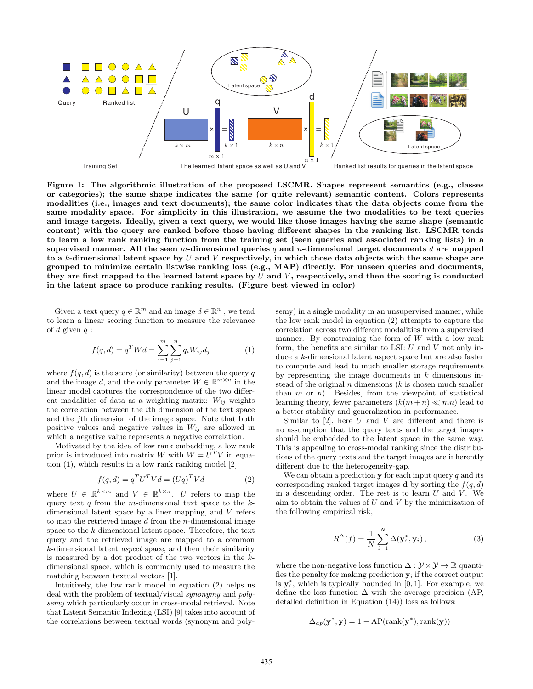

Figure 1: The algorithmic illustration of the proposed LSCMR. Shapes represent semantics (e.g., classes or categories); the same shape indicates the same (or quite relevant) semantic content. Colors represents modalities (i.e., images and text documents); the same color indicates that the data objects come from the same modality space. For simplicity in this illustration, we assume the two modalities to be text queries and image targets. Ideally, given a text query, we would like those images having the same shape (semantic content) with the query are ranked before those having different shapes in the ranking list. LSCMR tends to learn a low rank ranking function from the training set (seen queries and associated ranking lists) in a supervised manner. All the seen m-dimensional queries q and n-dimensional target documents d are mapped to a  $k$ -dimensional latent space by U and V respectively, in which those data objects with the same shape are grouped to minimize certain listwise ranking loss (e.g., MAP) directly. For unseen queries and documents, they are first mapped to the learned latent space by  $U$  and  $V$ , respectively, and then the scoring is conducted in the latent space to produce ranking results. (Figure best viewed in color)

Given a text query  $q \in \mathbb{R}^m$  and an image  $d \in \mathbb{R}^n$  , we tend to learn a linear scoring function to measure the relevance of  $d$  given  $q$  :

$$
f(q,d) = q^T W d = \sum_{i=1}^{m} \sum_{j=1}^{n} q_i W_{ij} d_j
$$
 (1)

where  $f(q, d)$  is the score (or similarity) between the query q and the image d, and the only parameter  $W \in \mathbb{R}^{m \times n}$  in the linear model captures the correspondence of the two different modalities of data as a weighting matrix:  $W_{ij}$  weights the correlation between the ith dimension of the text space and the jth dimension of the image space. Note that both positive values and negative values in  $W_{ij}$  are allowed in which a negative value represents a negative correlation.

Motivated by the idea of low rank embedding, a low rank prior is introduced into matrix W with  $W = U<sup>T</sup>V$  in equation (1), which results in a low rank ranking model [2]:

$$
f(q,d) = q^T U^T V d = (Uq)^T V d \tag{2}
$$

where  $U \in \mathbb{R}^{k \times m}$  and  $V \in \mathbb{R}^{k \times n}$ . U refers to map the query text  $q$  from the m-dimensional text space to the  $k$ dimensional latent space by a liner mapping, and V refers to map the retrieved image  $d$  from the *n*-dimensional image space to the k-dimensional latent space. Therefore, the text query and the retrieved image are mapped to a common k-dimensional latent aspect space, and then their similarity is measured by a dot product of the two vectors in the kdimensional space, which is commonly used to measure the matching between textual vectors [1].

Intuitively, the low rank model in equation (2) helps us deal with the problem of textual/visual synonymy and polysemy which particularly occur in cross-modal retrieval. Note that Latent Semantic Indexing (LSI) [9] takes into account of the correlations between textual words (synonym and polysemy) in a single modality in an unsupervised manner, while the low rank model in equation (2) attempts to capture the correlation across two different modalities from a supervised manner. By constraining the form of  $W$  with a low rank form, the benefits are similar to LSI:  $U$  and  $V$  not only induce a k-dimensional latent aspect space but are also faster to compute and lead to much smaller storage requirements by representing the image documents in  $k$  dimensions instead of the original  $n$  dimensions  $(k$  is chosen much smaller than  $m$  or  $n$ ). Besides, from the viewpoint of statistical learning theory, fewer parameters  $(k(m + n) \ll mn)$  lead to a better stability and generalization in performance.

Similar to  $[2]$ , here U and V are different and there is no assumption that the query texts and the target images should be embedded to the latent space in the same way. This is appealing to cross-modal ranking since the distributions of the query texts and the target images are inherently different due to the heterogeneity-gap.

We can obtain a prediction  $\bf{v}$  for each input query q and its corresponding ranked target images **d** by sorting the  $f(q, d)$ in a descending order. The rest is to learn  $U$  and  $V$ . We aim to obtain the values of  $U$  and  $V$  by the minimization of the following empirical risk,

$$
R^{\Delta}(f) = \frac{1}{N} \sum_{i=1}^{N} \Delta(\mathbf{y}_i^*, \mathbf{y}_i), \qquad (3)
$$

where the non-negative loss function  $\Delta : \mathcal{Y} \times \mathcal{Y} \to \mathbb{R}$  quantifies the penalty for making prediction  $y_i$  if the correct output is  $y_i^*$ , which is typically bounded in [0, 1]. For example, we define the loss function  $\Delta$  with the average precision (AP, detailed definition in Equation (14)) loss as follows:

$$
\Delta_{ap}(\mathbf{y}^*, \mathbf{y}) = 1 - AP(\text{rank}(\mathbf{y}^*), \text{rank}(\mathbf{y}))
$$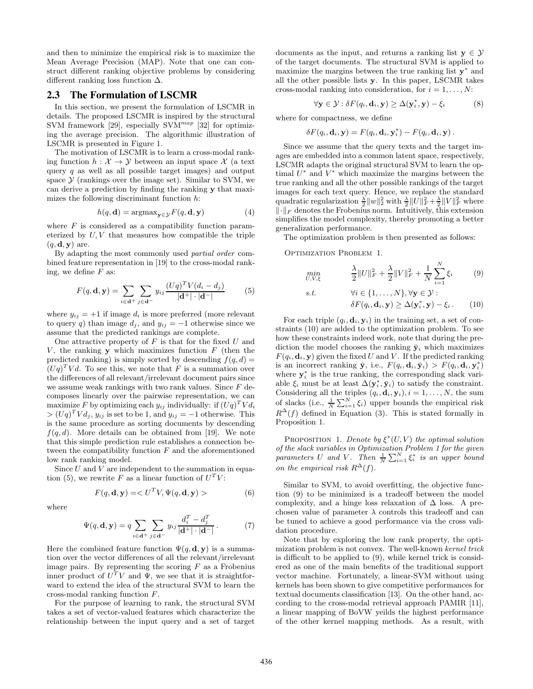and then to minimize the empirical risk is to maximize the Mean Average Precision (MAP). Note that one can construct different ranking objective problems by considering different ranking loss function ∆.

## **2.3 The Formulation of LSCMR**

In this section, we present the formulation of LSCMR in details. The proposed LSCMR is inspired by the structural SVM framework [29], especially SVM $^{map}$  [32] for optimizing the average precision. The algorithmic illustration of LSCMR is presented in Figure 1.

The motivation of LSCMR is to learn a cross-modal ranking function  $h: \mathcal{X} \to \mathcal{Y}$  between an input space  $\mathcal{X}$  (a text query  $q$  as well as all possible target images) and output space  $\mathcal Y$  (rankings over the image set). Similar to SVM, we can derive a prediction by finding the ranking y that maximizes the following discriminant function  $h$ :

$$
h(q, \mathbf{d}) = \operatorname{argmax}_{\mathbf{y} \in \mathcal{Y}} F(q, \mathbf{d}, \mathbf{y})
$$
(4)

where  $F$  is considered as a compatibility function parameterized by  $U, V$  that measures how compatible the triple  $(q, \mathbf{d}, \mathbf{y})$  are.

By adapting the most commonly used partial order combined feature representation in [19] to the cross-modal ranking, we define  $F$  as:

$$
F(q, \mathbf{d}, \mathbf{y}) = \sum_{i \in \mathbf{d}^+} \sum_{j \in \mathbf{d}^-} y_{ij} \frac{(Uq)^T V(d_i - d_j)}{|\mathbf{d}^+| \cdot |\mathbf{d}^-|}
$$
(5)

where  $y_{ij} = +1$  if image  $d_i$  is more preferred (more relevant to query q) than image  $d_j$ , and  $y_{ij} = -1$  otherwise since we assume that the predicted rankings are complete.

One attractive property of  $F$  is that for the fixed  $U$  and V, the ranking **v** which maximizes function  $F$  (then the predicted ranking) is simply sorted by descending  $f(q, d) =$  $(Uq)^T V d$ . To see this, we note that F is a summation over the differences of all relevant/irrelevant document pairs since we assume weak rankings with two rank values. Since  $F$  decomposes linearly over the pairwise representation, we can maximize  $F$  by optimizing each  $y_{ij}$  individually: if  $(Uq)^T V d_i$  $>(Uq)^T V d_j$ ,  $y_{ij}$  is set to be 1, and  $y_{ij} = -1$  otherwise. This is the same procedure as sorting documents by descending  $f(q, d)$ . More details can be obtained from [19]. We note that this simple prediction rule establishes a connection between the compatibility function  $F$  and the aforementioned low rank ranking model.

Since  $U$  and  $V$  are independent to the summation in equation (5), we rewrite F as a linear function of  $U<sup>T</sup>V$ :

$$
F(q, \mathbf{d}, \mathbf{y}) = \langle U^T V, \Psi(q, \mathbf{d}, \mathbf{y}) \rangle \tag{6}
$$

where

$$
\Psi(q, \mathbf{d}, \mathbf{y}) = q \sum_{i \in \mathbf{d}^+} \sum_{j \in \mathbf{d}^-} y_{ij} \frac{d_i^T - d_j^T}{|\mathbf{d}^+| \cdot |\mathbf{d}^-|}.
$$
 (7)

Here the combined feature function  $\Psi(q, \mathbf{d}, \mathbf{y})$  is a summation over the vector differences of all the relevant/irrelevant image pairs. By representing the scoring  $F$  as a Frobenius inner product of  $U^T V$  and  $\Psi$ , we see that it is straightforward to extend the idea of the structural SVM to learn the cross-modal ranking function F.

For the purpose of learning to rank, the structural SVM takes a set of vector-valued features which characterize the relationship between the input query and a set of target documents as the input, and returns a ranking list  $y \in \mathcal{Y}$ of the target documents. The structural SVM is applied to maximize the margins between the true ranking list  $y^*$  and all the other possible lists y. In this paper, LSCMR takes cross-modal ranking into consideration, for  $i = 1, \ldots, N$ :

$$
\forall \mathbf{y} \in \mathcal{Y} : \delta F(q_i, \mathbf{d}_i, \mathbf{y}) \ge \Delta(\mathbf{y}_i^*, \mathbf{y}) - \xi_i \tag{8}
$$

where for compactness, we define

$$
\delta F(q_i, \mathbf{d}_i, \mathbf{y}) = F(q_i, \mathbf{d}_i, \mathbf{y}_i^*) - F(q_i, \mathbf{d}_i, \mathbf{y}).
$$

Since we assume that the query texts and the target images are embedded into a common latent space, respectively, LSCMR adapts the original structural SVM to learn the optimal  $U^*$  and  $V^*$  which maximize the margins between the true ranking and all the other possible rankings of the target images for each text query. Hence, we replace the standard quadratic regularization  $\frac{\lambda}{2}||w||_2^2$  with  $\frac{\lambda}{2}||U||_F^2 + \frac{\lambda}{2}||V||_F^2$  where  $\|\cdot\|_F$  denotes the Frobenius norm. Intuitively, this extension simplifies the model complexity, thereby promoting a better generalization performance.

The optimization problem is then presented as follows:

OPTIMIZATION PROBLEM 1.

$$
\min_{U,V,\xi} \qquad \frac{\lambda}{2} ||U||_F^2 + \frac{\lambda}{2} ||V||_F^2 + \frac{1}{N} \sum_{i=1}^N \xi_i \qquad (9)
$$
\n
$$
s.t. \qquad \forall i \in \{1, ..., N\}, \forall \mathbf{y} \in \mathcal{Y}:
$$
\n
$$
\delta F(q_i, \mathbf{d}_i, \mathbf{y}) \ge \Delta(\mathbf{y}_i^*, \mathbf{y}) - \xi_i. \qquad (10)
$$

For each triple  $(q_i, \mathbf{d}_i, \mathbf{y}_i)$  in the training set, a set of constraints (10) are added to the optimization problem. To see how these constraints indeed work, note that during the prediction the model chooses the ranking  $\bar{y}_i$  which maximizes  $F(q_i, \mathbf{d}_i, \mathbf{y})$  given the fixed U and V. If the predicted ranking is an incorrect ranking  $\bar{y}$ , i.e.,  $F(q_i, \mathbf{d}_i, \bar{y}_i) > F(q_i, \mathbf{d}_i, y_i^*)$ where  $y_i^*$  is the true ranking, the corresponding slack variable  $\xi_i$  must be at least  $\Delta(\mathbf{y}_i^*, \bar{\mathbf{y}}_i)$  to satisfy the constraint. Considering all the triples  $(q_i, \mathbf{d}_i, \mathbf{y}_i), i = 1, \ldots, N$ , the sum of slacks (i.e.,  $\frac{1}{N} \sum_{i=1}^{N} \xi_i$ ) upper bounds the empirical risk  $R^{\Delta}(f)$  defined in Equation (3). This is stated formally in Proposition 1.

PROPOSITION 1. Denote by  $\xi^*(U, V)$  the optimal solution of the slack variables in Optimization Problem 1 for the given parameters U and V. Then  $\frac{1}{N} \sum_{i=1}^{N} \xi_i^*$  is an upper bound on the empirical risk  $R^{\Delta}(f)$ .

Similar to SVM, to avoid overfitting, the objective function (9) to be minimized is a tradeoff between the model complexity, and a hinge loss relaxation of  $\Delta$  loss. A prechosen value of parameter  $\lambda$  controls this tradeoff and can be tuned to achieve a good performance via the cross validation procedure.

Note that by exploring the low rank property, the optimization problem is not convex. The well-known kernel trick is difficult to be applied to (9), while kernel trick is considered as one of the main benefits of the traditional support vector machine. Fortunately, a linear-SVM without using kernels has been shown to give competitive performances for textual documents classification [13]. On the other hand, according to the cross-modal retrieval approach PAMIR [11], a linear mapping of BoVW yeilds the highest performance of the other kernel mapping methods. As a result, with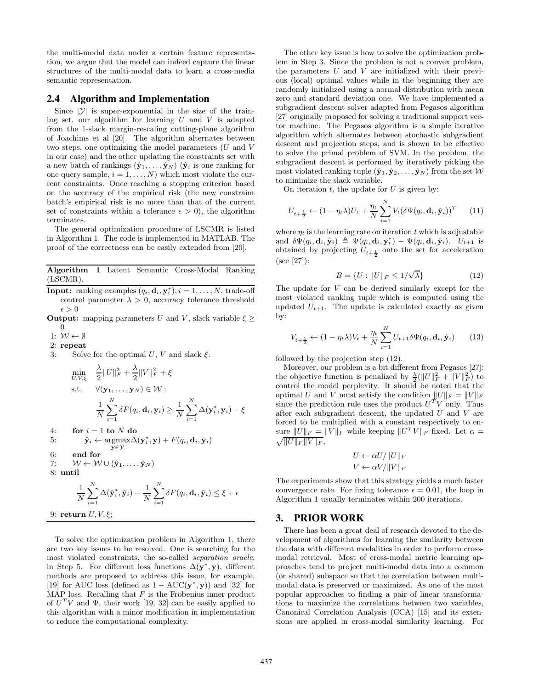the multi-modal data under a certain feature representation, we argue that the model can indeed capture the linear structures of the multi-modal data to learn a cross-media semantic representation.

### **2.4 Algorithm and Implementation**

Since  $|\mathcal{Y}|$  is super-exponential in the size of the training set, our algorithm for learning  $U$  and  $V$  is adapted from the 1-slack margin-rescaling cutting-plane algorithm of Joachims et al [20]. The algorithm alternates between two steps, one optimizing the model parameters  $(U \text{ and } V)$ in our case) and the other updating the constraints set with a new batch of rankings  $(\hat{\mathbf{y}}_1, \ldots, \hat{\mathbf{y}}_N)$   $(\hat{\mathbf{y}}_i$  is one ranking for one query sample,  $i = 1, ..., N$ ) which most violate the current constraints. Once reaching a stopping criterion based on the accuracy of the empirical risk (the new constraint batch's empirical risk is no more than that of the current set of constraints within a tolerance  $\epsilon > 0$ , the algorithm terminates.

The general optimization procedure of LSCMR is listed in Algorithm 1. The code is implemented in MATLAB. The proof of the correctness can be easily extended from [20].

Algorithm 1 Latent Semantic Cross-Modal Ranking (LSCMR).

**Input:** ranking examples  $(q_i, \mathbf{d}_i, \mathbf{y}_i^*), i = 1, ..., N$ , trade-off control parameter  $\lambda > 0$ , accuracy tolerance threshold  $\epsilon > 0$ 

**Output:** mapping parameters U and V, slack variable  $\xi \geq 0$  $\Omega$ 

1:  $\mathcal{W} \leftarrow \emptyset$ 

2: repeat

3: Solve for the optimal  $U, V$  and slack  $\xi$ :

$$
\min_{U, V, \xi} \quad \frac{\lambda}{2} ||U||_F^2 + \frac{\lambda}{2} ||V||_F^2 + \xi
$$
\n
$$
\text{s.t.} \quad \forall (\mathbf{y}_1, \dots, \mathbf{y}_N) \in \mathcal{W}:
$$
\n
$$
\frac{1}{N} \sum_{i=1}^N \delta F(q_i, \mathbf{d}_i, \mathbf{y}_i) \ge \frac{1}{N} \sum_{i=1}^N \Delta(\mathbf{y}_i^*, \mathbf{y}_i) - \xi
$$
\n
$$
\text{for } i = 1 \text{ to } N \text{ do}
$$

5: 
$$
\hat{\mathbf{y}}_i \leftarrow \operatorname{argmax}_{i} \Delta(\mathbf{y}_i^*, \mathbf{y}) + F(q_i, \mathbf{d}_i, \mathbf{y}_i)
$$

 $y \in Y$ 6: end for

7:  $W \leftarrow W \cup (\hat{\mathbf{y}}_1, \dots, \hat{\mathbf{y}}_N)$ 

8: until

$$
\frac{1}{N} \sum_{i=1}^{N} \Delta(\hat{\mathbf{y}}_i^*, \hat{\mathbf{y}}_i) - \frac{1}{N} \sum_{i=1}^{N} \delta F(q_i, \mathbf{d}_i, \hat{\mathbf{y}}_i) \le \xi + \epsilon
$$

9: return 
$$
U, V, \xi
$$
;

To solve the optimization problem in Algorithm 1, there are two key issues to be resolved. One is searching for the most violated constraints, the so-called separation oracle, in Step 5. For different loss functions  $\Delta(\mathbf{y}^*, \mathbf{y})$ , different methods are proposed to address this issue, for example, [19] for AUC loss (defined as  $1 - \text{AUC}(\mathbf{y}^*, \mathbf{y})$ ) and [32] for MAP loss. Recalling that  $F$  is the Frobenius inner product of  $U<sup>T</sup>V$  and  $\Psi$ , their work [19, 32] can be easily applied to this algorithm with a minor modification in implementation to reduce the computational complexity.

The other key issue is how to solve the optimization problem in Step 3. Since the problem is not a convex problem, the parameters  $U$  and  $V$  are initialized with their previous (local) optimal values while in the beginning they are randomly initialized using a normal distribution with mean zero and standard deviation one. We have implemented a subgradient descent solver adapted from Pegasos algorithm [27] originally proposed for solving a traditional support vector machine. The Pegasos algorithm is a simple iterative algorithm which alternates between stochastic subgradient descent and projection steps, and is shown to be effective to solve the primal problem of SVM. In the problem, the subgradient descent is performed by iteratively picking the most violated ranking tuple  $(\hat{\mathbf{y}}_1, \hat{\mathbf{y}}_2, \dots, \hat{\mathbf{y}}_N)$  from the set W to minimize the slack variable.

On iteration  $t$ , the update for  $U$  is given by:

$$
U_{t+\frac{1}{2}} \leftarrow (1 - \eta_t \lambda) U_t + \frac{\eta_t}{N} \sum_{i=1}^N V_t (\delta \Psi(q_i, \mathbf{d}_i, \hat{\mathbf{y}}_i))^T \qquad (11)
$$

where  $\eta_t$  is the learning rate on iteration t which is adjustable and  $\delta \Psi(q_i, \mathbf{d}_i, \hat{\mathbf{y}}_i) \triangleq \Psi(q_i, \mathbf{d}_i, \mathbf{y}_i^*) - \Psi(q_i, \mathbf{d}_i, \hat{\mathbf{y}}_i)$ .  $U_{t+1}$  is obtained by projecting  $U_{t+\frac{1}{2}}$  onto the set for acceleration (see [27]):

$$
B = \{ U : ||U||_F \le 1/\sqrt{\lambda} \}
$$
 (12)

The update for V can be derived similarly except for the most violated ranking tuple which is computed using the updated  $U_{t+1}$ . The update is calculated exactly as given by:

$$
V_{t+\frac{1}{2}} \leftarrow (1 - \eta_t \lambda) V_t + \frac{\eta_t}{N} \sum_{i=1}^N U_{t+1} \delta \Psi(q_i, \mathbf{d}_i, \hat{\mathbf{y}}_i) \qquad (13)
$$

followed by the projection step (12).

Moreover, our problem is a bit different from Pegasos [27]: the objective function is penalized by  $\frac{\lambda}{2}(\|U\|_F^2 + \|V\|_F^2)$  to control the model perplexity. It should be noted that the optimal U and V must satisfy the condition  $||U||_F = ||V||_F$ since the prediction rule uses the product  $U^T V$  only. Thus after each subgradient descent, the updated U and V are forced to be multiplied with a constant respectively to ensure  $||U||_F = ||V||_F$  while keeping  $||U^T V||_F$  fixed. Let  $\alpha =$  $\sqrt{||U||_F ||V||_F},$ 

$$
U \gets \alpha U / \| U \|_F
$$
  

$$
V \gets \alpha V / \| V \|_F
$$

The experiments show that this strategy yields a much faster convergence rate. For fixing tolerance  $\epsilon = 0.01$ , the loop in Algorithm 1 usually terminates within 200 iterations.

#### **3. PRIOR WORK**

There has been a great deal of research devoted to the development of algorithms for learning the similarity between the data with different modalities in order to perform crossmodal retrieval. Most of cross-modal metric learning approaches tend to project multi-modal data into a common (or shared) subspace so that the correlation between multimodal data is preserved or maximized. As one of the most popular approaches to finding a pair of linear transformations to maximize the correlations between two variables, Canonical Correlation Analysis (CCA) [15] and its extensions are applied in cross-modal similarity learning. For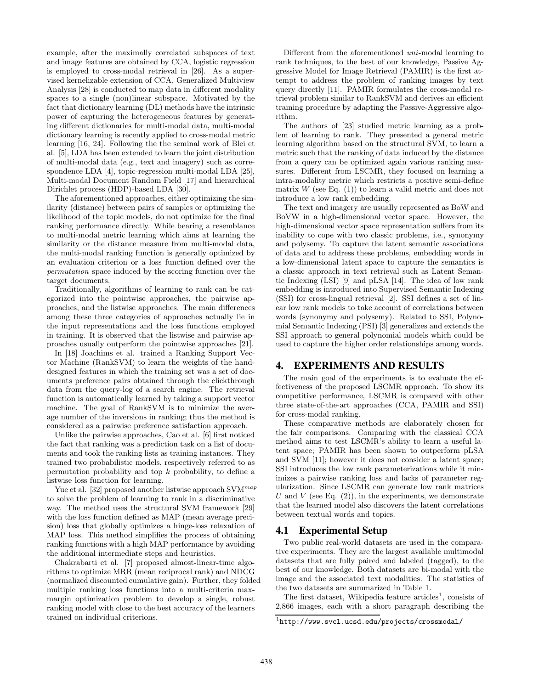example, after the maximally correlated subspaces of text and image features are obtained by CCA, logistic regression is employed to cross-modal retrieval in [26]. As a supervised kernelizable extension of CCA, Generalized Multiview Analysis [28] is conducted to map data in different modality spaces to a single (non)linear subspace. Motivated by the fact that dictionary learning (DL) methods have the intrinsic power of capturing the heterogeneous features by generating different dictionaries for multi-modal data, multi-modal dictionary learning is recently applied to cross-modal metric learning [16, 24]. Following the the seminal work of Blei et al. [5], LDA has been extended to learn the joint distribution of multi-modal data (e.g., text and imagery) such as correspondence LDA [4], topic-regression multi-modal LDA [25], Multi-modal Document Random Field [17] and hierarchical Dirichlet process (HDP)-based LDA [30].

The aforementioned approaches, either optimizing the similarity (distance) between pairs of samples or optimizing the likelihood of the topic models, do not optimize for the final ranking performance directly. While bearing a resemblance to multi-modal metric learning which aims at learning the similarity or the distance measure from multi-modal data, the multi-modal ranking function is generally optimized by an evaluation criterion or a loss function defined over the permutation space induced by the scoring function over the target documents.

Traditionally, algorithms of learning to rank can be categorized into the pointwise approaches, the pairwise approaches, and the listwise approaches. The main differences among these three categories of approaches actually lie in the input representations and the loss functions employed in training. It is observed that the listwise and pairwise approaches usually outperform the pointwise approaches [21].

In [18] Joachims et al. trained a Ranking Support Vector Machine (RankSVM) to learn the weights of the handdesigned features in which the training set was a set of documents preference pairs obtained through the clickthrough data from the query-log of a search engine. The retrieval function is automatically learned by taking a support vector machine. The goal of RankSVM is to minimize the average number of the inversions in ranking; thus the method is considered as a pairwise preference satisfaction approach.

Unlike the pairwise approaches, Cao et al. [6] first noticed the fact that ranking was a prediction task on a list of documents and took the ranking lists as training instances. They trained two probabilistic models, respectively referred to as permutation probability and top k probability, to define a listwise loss function for learning.

Yue et al. [32] proposed another listwise approach  $\mathrm{SVM}^{map}$ to solve the problem of learning to rank in a discriminative way. The method uses the structural SVM framework [29] with the loss function defined as MAP (mean average precision) loss that globally optimizes a hinge-loss relaxation of MAP loss. This method simplifies the process of obtaining ranking functions with a high MAP performance by avoiding the additional intermediate steps and heuristics.

Chakrabarti et al. [7] proposed almost-linear-time algorithms to optimize MRR (mean reciprocal rank) and NDCG (normalized discounted cumulative gain). Further, they folded multiple ranking loss functions into a multi-criteria maxmargin optimization problem to develop a single, robust ranking model with close to the best accuracy of the learners trained on individual criterions.

Different from the aforementioned uni-modal learning to rank techniques, to the best of our knowledge, Passive Aggressive Model for Image Retrieval (PAMIR) is the first attempt to address the problem of ranking images by text query directly [11]. PAMIR formulates the cross-modal retrieval problem similar to RankSVM and derives an efficient training procedure by adapting the Passive-Aggressive algorithm.

The authors of [23] studied metric learning as a problem of learning to rank. They presented a general metric learning algorithm based on the structural SVM, to learn a metric such that the ranking of data induced by the distance from a query can be optimized again various ranking measures. Different from LSCMR, they focused on learning a intra-modality metric which restricts a positive semi-define matrix  $W$  (see Eq. (1)) to learn a valid metric and does not introduce a low rank embedding.

The text and imagery are usually represented as BoW and BoVW in a high-dimensional vector space. However, the high-dimensional vector space representation suffers from its inability to cope with two classic problems, i.e., synonymy and polysemy. To capture the latent semantic associations of data and to address these problems, embedding words in a low-dimensional latent space to capture the semantics is a classic approach in text retrieval such as Latent Semantic Indexing (LSI) [9] and pLSA [14]. The idea of low rank embedding is introduced into Supervised Semantic Indexing (SSI) for cross-lingual retrieval [2]. SSI defines a set of linear low rank models to take account of correlations between words (synonymy and polysemy). Related to SSI, Polynomial Semantic Indexing (PSI) [3] generalizes and extends the SSI approach to general polynomial models which could be used to capture the higher order relationships among words.

## **4. EXPERIMENTS AND RESULTS**

The main goal of the experiments is to evaluate the effectiveness of the proposed LSCMR approach. To show its competitive performance, LSCMR is compared with other three state-of-the-art approaches (CCA, PAMIR and SSI) for cross-modal ranking.

These comparative methods are elaborately chosen for the fair comparisons. Comparing with the classical CCA method aims to test LSCMR's ability to learn a useful latent space; PAMIR has been shown to outperform pLSA and SVM [11]; however it does not consider a latent space; SSI introduces the low rank parameterizations while it minimizes a pairwise ranking loss and lacks of parameter regularization. Since LSCMR can generate low rank matrices U and V (see Eq.  $(2)$ ), in the experiments, we demonstrate that the learned model also discovers the latent correlations between textual words and topics.

## **4.1 Experimental Setup**

Two public real-world datasets are used in the comparative experiments. They are the largest available multimodal datasets that are fully paired and labeled (tagged), to the best of our knowledge. Both datasets are bi-modal with the image and the associated text modalities. The statistics of the two datasets are summarized in Table 1.

The first dataset, Wikipedia feature  $\arccos 1$ , consists of 2,866 images, each with a short paragraph describing the

 $^{\rm 1}$ http://www.svcl.ucsd.edu/projects/crossmodal/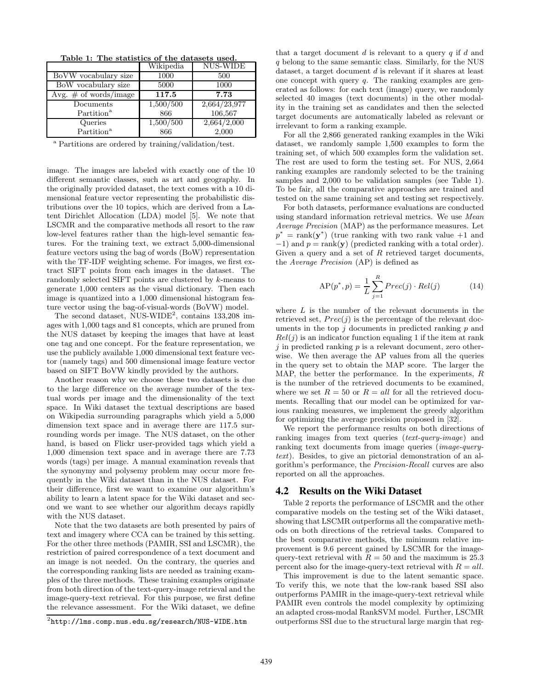Table 1: The statistics of the datasets used.

|                          | Wikipedia | NUS-WIDE     |
|--------------------------|-----------|--------------|
| BoVW vocabulary size     | 1000      | 500          |
| BoW vocabulary size      | 5000      | 1000         |
| Avg. $\#$ of words/image | 117.5     | 7.73         |
| Documents                | 1,500/500 | 2,664/23,977 |
| Partition <sup>a</sup>   | 866       | 106,567      |
| Queries                  | 1,500/500 | 2,664/2,000  |
| Partition <sup>a</sup>   | 866       | 2,000        |

<sup>a</sup> Partitions are ordered by training/validation/test.

image. The images are labeled with exactly one of the 10 different semantic classes, such as art and geography. In the originally provided dataset, the text comes with a 10 dimensional feature vector representing the probabilistic distributions over the 10 topics, which are derived from a Latent Dirichlet Allocation (LDA) model [5]. We note that LSCMR and the comparative methods all resort to the raw low-level features rather than the high-level semantic features. For the training text, we extract 5,000-dimensional feature vectors using the bag of words (BoW) representation with the TF-IDF weighting scheme. For images, we first extract SIFT points from each images in the dataset. The randomly selected SIFT points are clustered by k-means to generate 1,000 centers as the visual dictionary. Then each image is quantized into a 1,000 dimensional histogram feature vector using the bag-of-visual-words (BoVW) model.

The second dataset, NUS-WIDE<sup>2</sup>, contains 133,208 images with 1,000 tags and 81 concepts, which are pruned from the NUS dataset by keeping the images that have at least one tag and one concept. For the feature representation, we use the publicly available 1,000 dimensional text feature vector (namely tags) and 500 dimensional image feature vector based on SIFT BoVW kindly provided by the authors.

Another reason why we choose these two datasets is due to the large difference on the average number of the textual words per image and the dimensionality of the text space. In Wiki dataset the textual descriptions are based on Wikipedia surrounding paragraphs which yield a 5,000 dimension text space and in average there are 117.5 surrounding words per image. The NUS dataset, on the other hand, is based on Flickr user-provided tags which yield a 1,000 dimension text space and in average there are 7.73 words (tags) per image. A manual examination reveals that the synonymy and polysemy problem may occur more frequently in the Wiki dataset than in the NUS dataset. For their difference, first we want to examine our algorithm's ability to learn a latent space for the Wiki dataset and second we want to see whether our algorithm decays rapidly with the NUS dataset.

Note that the two datasets are both presented by pairs of text and imagery where CCA can be trained by this setting. For the other three methods (PAMIR, SSI and LSCMR), the restriction of paired correspondence of a text document and an image is not needed. On the contrary, the queries and the corresponding ranking lists are needed as training examples of the three methods. These training examples originate from both direction of the text-query-image retrieval and the image-query-text retrieval. For this purpose, we first define the relevance assessment. For the Wiki dataset, we define

that a target document  $d$  is relevant to a query  $q$  if  $d$  and q belong to the same semantic class. Similarly, for the NUS dataset, a target document d is relevant if it shares at least one concept with query  $q$ . The ranking examples are generated as follows: for each text (image) query, we randomly selected 40 images (text documents) in the other modality in the training set as candidates and then the selected target documents are automatically labeled as relevant or irrelevant to form a ranking example.

For all the 2,866 generated ranking examples in the Wiki dataset, we randomly sample 1,500 examples to form the training set, of which 500 examples form the validation set. The rest are used to form the testing set. For NUS, 2,664 ranking examples are randomly selected to be the training samples and 2,000 to be validation samples (see Table 1). To be fair, all the comparative approaches are trained and tested on the same training set and testing set respectively.

For both datasets, performance evaluations are conducted using standard information retrieval metrics. We use Mean Average Precision (MAP) as the performance measures. Let  $p^* = \text{rank}(\mathbf{y}^*)$  (true ranking with two rank value +1 and  $-1$ ) and  $p = \text{rank}(\mathbf{y})$  (predicted ranking with a total order). Given a query and a set of  $R$  retrieved target documents, the Average Precision (AP) is defined as

$$
AP(p^*, p) = \frac{1}{L} \sum_{j=1}^{R} \text{Prec}(j) \cdot \text{Rel}(j)
$$
 (14)

where  $L$  is the number of the relevant documents in the retrieved set,  $Prec(j)$  is the percentage of the relevant documents in the top  $i$  documents in predicted ranking  $p$  and  $Rel(i)$  is an indicator function equaling 1 if the item at rank  $i$  in predicted ranking  $p$  is a relevant document, zero otherwise. We then average the AP values from all the queries in the query set to obtain the MAP score. The larger the MAP, the better the performance. In the experiments, R is the number of the retrieved documents to be examined, where we set  $R = 50$  or  $R = all$  for all the retrieved documents. Recalling that our model can be optimized for various ranking measures, we implement the greedy algorithm for optimizing the average precision proposed in [32].

We report the performance results on both directions of ranking images from text queries (*text-query-image*) and ranking text documents from image queries (image-querytext). Besides, to give an pictorial demonstration of an algorithm's performance, the Precision-Recall curves are also reported on all the approaches.

#### **4.2 Results on the Wiki Dataset**

Table 2 reports the performance of LSCMR and the other comparative models on the testing set of the Wiki dataset, showing that LSCMR outperforms all the comparative methods on both directions of the retrieval tasks. Compared to the best comparative methods, the minimum relative improvement is 9.6 percent gained by LSCMR for the imagequery-text retrieval with  $R = 50$  and the maximum is 25.3 percent also for the image-query-text retrieval with  $R = all$ .

This improvement is due to the latent semantic space. To verify this, we note that the low-rank based SSI also outperforms PAMIR in the image-query-text retrieval while PAMIR even controls the model complexity by optimizing an adapted cross-modal RankSVM model. Further, LSCMR outperforms SSI due to the structural large margin that reg-

 $^{2}$ http:// $\ln$ s.comp.nus.edu.sg/research/NUS-WIDE.htm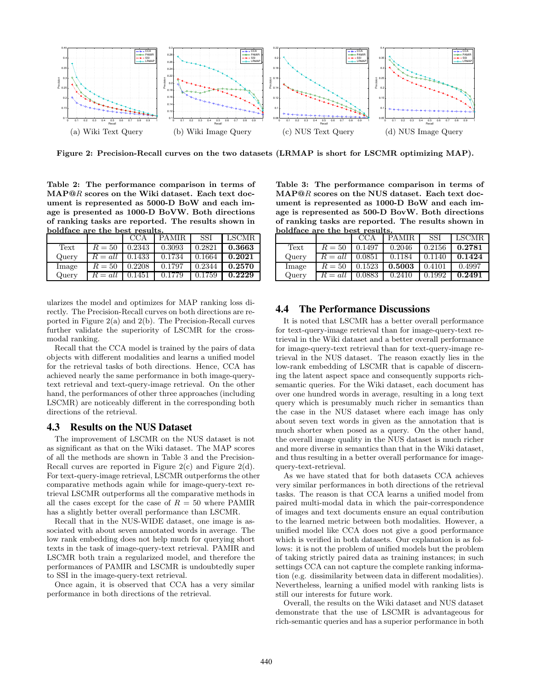

Figure 2: Precision-Recall curves on the two datasets (LRMAP is short for LSCMR optimizing MAP).

Table 2: The performance comparison in terms of MAP@R scores on the Wiki dataset. Each text document is represented as 5000-D BoW and each image is presented as 1000-D BoVW. Both directions of ranking tasks are reported. The results shown in boldface are the best results.

|       |           | CCA    | PAMIR. | SSI    | LSCMR. |
|-------|-----------|--------|--------|--------|--------|
| Text  | $R=50$    | 0.2343 | 0.3093 | 0.2821 | 0.3663 |
| Query | $R = all$ | 0.1433 | 0.1734 | 0.1664 | 0.2021 |
| Image | $R=50$    | 0.2208 | 0.1797 | 0.2344 | 0.2570 |
| Query | $R = all$ | 0.1451 | 0.1779 | 0.1759 | 0.2229 |

ularizes the model and optimizes for MAP ranking loss directly. The Precision-Recall curves on both directions are reported in Figure 2(a) and 2(b). The Precision-Recall curves further validate the superiority of LSCMR for the crossmodal ranking.

Recall that the CCA model is trained by the pairs of data objects with different modalities and learns a unified model for the retrieval tasks of both directions. Hence, CCA has achieved nearly the same performance in both image-querytext retrieval and text-query-image retrieval. On the other hand, the performances of other three approaches (including LSCMR) are noticeably different in the corresponding both directions of the retrieval.

#### **4.3 Results on the NUS Dataset**

The improvement of LSCMR on the NUS dataset is not as significant as that on the Wiki dataset. The MAP scores of all the methods are shown in Table 3 and the Precision-Recall curves are reported in Figure 2(c) and Figure 2(d). For text-query-image retrieval, LSCMR outperforms the other comparative methods again while for image-query-text retrieval LSCMR outperforms all the comparative methods in all the cases except for the case of  $R = 50$  where PAMIR has a slightly better overall performance than LSCMR.

Recall that in the NUS-WIDE dataset, one image is associated with about seven annotated words in average. The low rank embedding does not help much for querying short texts in the task of image-query-text retrieval. PAMIR and LSCMR both train a regularized model, and therefore the performances of PAMIR and LSCMR is undoubtedly super to SSI in the image-query-text retrieval.

Once again, it is observed that CCA has a very similar performance in both directions of the retrieval.

Table 3: The performance comparison in terms of MAP@R scores on the NUS dataset. Each text document is represented as 1000-D BoW and each image is represented as 500-D BovW. Both directions of ranking tasks are reported. The results shown in boldface are the best results.

|       |           | <b>CCA</b> | PAMIR. | SSI    | LSCMR. |
|-------|-----------|------------|--------|--------|--------|
| Text  | $R=50$    | 0.1497     | 0.2046 | 0.2156 | 0.2781 |
| Query | $R = all$ | 0.0851     | 0.1184 | 0.1140 | 0.1424 |
| Image | $R=50$    | 0.1523     | 0.5003 | 0.4101 | 0.4997 |
| Query | $R = all$ | 0.0883     | 0.2410 | 0.1992 | 0.2491 |

#### **4.4 The Performance Discussions**

It is noted that LSCMR has a better overall performance for text-query-image retrieval than for image-query-text retrieval in the Wiki dataset and a better overall performance for image-query-text retrieval than for text-query-image retrieval in the NUS dataset. The reason exactly lies in the low-rank embedding of LSCMR that is capable of discerning the latent aspect space and consequently supports richsemantic queries. For the Wiki dataset, each document has over one hundred words in average, resulting in a long text query which is presumably much richer in semantics than the case in the NUS dataset where each image has only about seven text words in given as the annotation that is much shorter when posed as a query. On the other hand, the overall image quality in the NUS dataset is much richer and more diverse in semantics than that in the Wiki dataset, and thus resulting in a better overall performance for imagequery-text-retrieval.

As we have stated that for both datasets CCA achieves very similar performances in both directions of the retrieval tasks. The reason is that CCA learns a unified model from paired multi-modal data in which the pair-correspondence of images and text documents ensure an equal contribution to the learned metric between both modalities. However, a unified model like CCA does not give a good performance which is verified in both datasets. Our explanation is as follows: it is not the problem of unified models but the problem of taking strictly paired data as training instances; in such settings CCA can not capture the complete ranking information (e.g. dissimilarity between data in different modalities). Nevertheless, learning a unified model with ranking lists is still our interests for future work.

Overall, the results on the Wiki dataset and NUS dataset demonstrate that the use of LSCMR is advantageous for rich-semantic queries and has a superior performance in both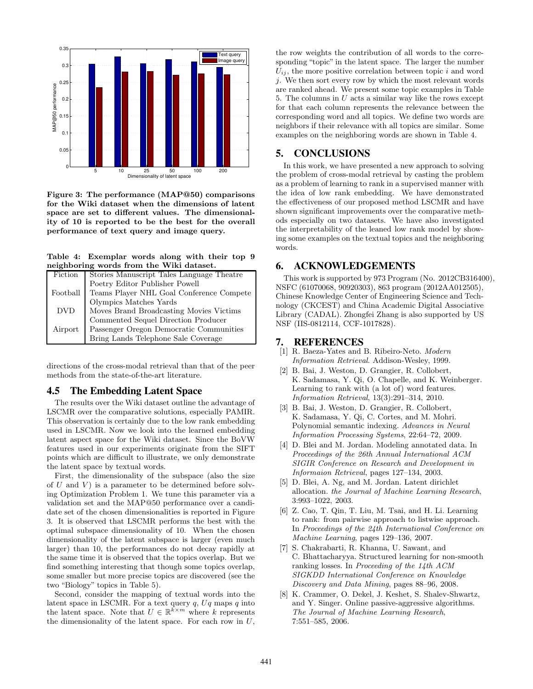

Figure 3: The performance (MAP@50) comparisons for the Wiki dataset when the dimensions of latent space are set to different values. The dimensionality of 10 is reported to be the best for the overall performance of text query and image query.

Table 4: Exemplar words along with their top 9 neighboring words from the Wiki dataset.

| Fiction    |                                                                             |
|------------|-----------------------------------------------------------------------------|
|            | Stories Manuscript Tales Language Theatre<br>Poetry Editor Publisher Powell |
| Football   | Teams Player NHL Goal Conference Compete                                    |
|            | Olympics Matches Yards                                                      |
| <b>DVD</b> | Moves Brand Broadcasting Movies Victims                                     |
|            | Commented Sequel Direction Producer                                         |
| Airport    | Passenger Oregon Democratic Communities                                     |
|            | Bring Lands Telephone Sale Coverage                                         |

directions of the cross-modal retrieval than that of the peer methods from the state-of-the-art literature.

#### **4.5 The Embedding Latent Space**

The results over the Wiki dataset outline the advantage of LSCMR over the comparative solutions, especially PAMIR. This observation is certainly due to the low rank embedding used in LSCMR. Now we look into the learned embedding latent aspect space for the Wiki dataset. Since the BoVW features used in our experiments originate from the SIFT points which are difficult to illustrate, we only demonstrate the latent space by textual words.

First, the dimensionality of the subspace (also the size of  $U$  and  $V$ ) is a parameter to be determined before solving Optimization Problem 1. We tune this parameter via a validation set and the MAP@50 performance over a candidate set of the chosen dimensionalities is reported in Figure 3. It is observed that LSCMR performs the best with the optimal subspace dimensionality of 10. When the chosen dimensionality of the latent subspace is larger (even much larger) than 10, the performances do not decay rapidly at the same time it is observed that the topics overlap. But we find something interesting that though some topics overlap, some smaller but more precise topics are discovered (see the two "Biology" topics in Table 5).

Second, consider the mapping of textual words into the latent space in LSCMR. For a text query  $q$ ,  $Uq$  maps  $q$  into the latent space. Note that  $U \in \mathbb{R}^{\hat{k} \times m}$  where k represents the dimensionality of the latent space. For each row in  $U$ ,

the row weights the contribution of all words to the corresponding "topic" in the latent space. The larger the number  $U_{ij}$ , the more positive correlation between topic i and word j. We then sort every row by which the most relevant words are ranked ahead. We present some topic examples in Table 5. The columns in  $U$  acts a similar way like the rows except for that each column represents the relevance between the corresponding word and all topics. We define two words are neighbors if their relevance with all topics are similar. Some examples on the neighboring words are shown in Table 4.

## **5. CONCLUSIONS**

In this work, we have presented a new approach to solving the problem of cross-modal retrieval by casting the problem as a problem of learning to rank in a supervised manner with the idea of low rank embedding. We have demonstrated the effectiveness of our proposed method LSCMR and have shown significant improvements over the comparative methods especially on two datasets. We have also investigated the interpretability of the leaned low rank model by showing some examples on the textual topics and the neighboring words.

## **6. ACKNOWLEDGEMENTS**

This work is supported by 973 Program (No. 2012CB316400), NSFC (61070068, 90920303), 863 program (2012AA012505), Chinese Knowledge Center of Engineering Science and Technology (CKCEST) and China Academic Digital Associative Library (CADAL). Zhongfei Zhang is also supported by US NSF (IIS-0812114, CCF-1017828).

#### **7. REFERENCES**

- [1] R. Baeza-Yates and B. Ribeiro-Neto. Modern Information Retrieval. Addison-Wesley, 1999.
- [2] B. Bai, J. Weston, D. Grangier, R. Collobert, K. Sadamasa, Y. Qi, O. Chapelle, and K. Weinberger. Learning to rank with (a lot of) word features. Information Retrieval, 13(3):291–314, 2010.
- [3] B. Bai, J. Weston, D. Grangier, R. Collobert, K. Sadamasa, Y. Qi, C. Cortes, and M. Mohri. Polynomial semantic indexing. Advances in Neural Information Processing Systems, 22:64–72, 2009.
- [4] D. Blei and M. Jordan. Modeling annotated data. In Proceedings of the 26th Annual International ACM SIGIR Conference on Research and Development in Informaion Retrieval, pages 127–134, 2003.
- [5] D. Blei, A. Ng, and M. Jordan. Latent dirichlet allocation. the Journal of Machine Learning Research, 3:993–1022, 2003.
- [6] Z. Cao, T. Qin, T. Liu, M. Tsai, and H. Li. Learning to rank: from pairwise approach to listwise approach. In Proceedings of the 24th International Conference on Machine Learning, pages 129–136, 2007.
- [7] S. Chakrabarti, R. Khanna, U. Sawant, and C. Bhattacharyya. Structured learning for non-smooth ranking losses. In Proceeding of the 14th ACM SIGKDD International Conference on Knowledge Discovery and Data Mining, pages 88–96, 2008.
- [8] K. Crammer, O. Dekel, J. Keshet, S. Shalev-Shwartz, and Y. Singer. Online passive-aggressive algorithms. The Journal of Machine Learning Research, 7:551–585, 2006.